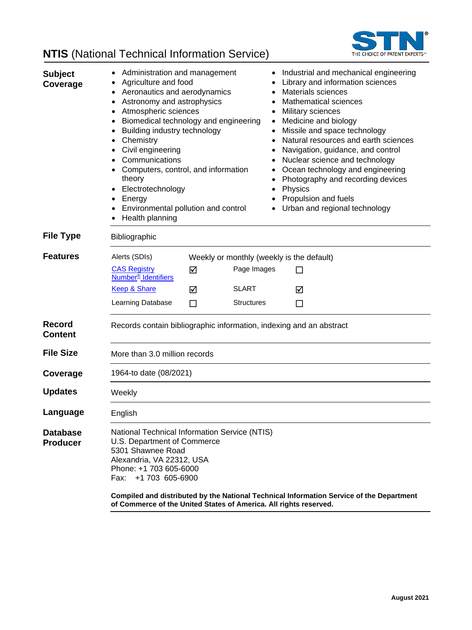

#### **NTIS** (National Technical Information Service) **Subject Coverage** • Administration and management • Industrial and mechanical engineering • Agriculture and food **• Library and information sciences** • Aeronautics and aerodynamics • Materials sciences • Astronomy and astrophysics • Mathematical sciences • Atmospheric sciences • Military sciences • Biomedical technology and engineering • Medicine and biology • Building industry technology • Missile and space technology • Chemistry **• Natural resources and earth sciences** • Civil engineering **• Control** • Navigation, guidance, and control • Communications • Nuclear science and technology • Computers, control, and information theory • Ocean technology and engineering • Photography and recording devices • Electrotechnology • Physics • Energy **• Propulsion and fuels** • Environmental pollution and control • Urban and regional technology • Health planning **File Type** Bibliographic **Features** Alerts (SDIs) Weekly or monthly (weekly is the default) [CAS Registry](http://www.cas.org/content/chemical-substances)  **Number<sup>®</sup>** Identifiers  $\nabla$  Page Images  $\Box$ [Keep & Share](http://www.cas.org/legal/keepshare) **M** SLART M Learning Database  $\Box$  Structures  $\Box$ **Record Content** Records contain bibliographic information, indexing and an abstract **File Size** More than 3.0 million records **Coverage** 1964-to date (08/2021) **Updates** Weekly Language English **Database Producer** National Technical Information Service (NTIS) U.S. Department of Commerce 5301 Shawnee Road Alexandria, VA 22312, USA Phone: +1 703 605-6000 Fax: +1 703 605-6900 **Compiled and distributed by the National Technical Information Service of the Department of Commerce of the United States of America. All rights reserved.**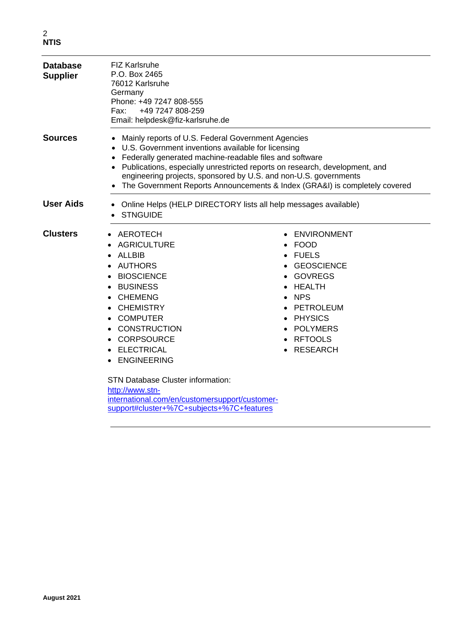| <b>Database</b><br><b>Supplier</b> | <b>FIZ Karlsruhe</b><br>P.O. Box 2465<br>76012 Karlsruhe<br>Germany<br>Phone: +49 7247 808-555<br>+49 7247 808-259<br>Fax:<br>Email: helpdesk@fiz-karlsruhe.de                                                                                                                                                                                                                                                          |                                                                                                                                                                                                               |  |
|------------------------------------|-------------------------------------------------------------------------------------------------------------------------------------------------------------------------------------------------------------------------------------------------------------------------------------------------------------------------------------------------------------------------------------------------------------------------|---------------------------------------------------------------------------------------------------------------------------------------------------------------------------------------------------------------|--|
| <b>Sources</b>                     | Mainly reports of U.S. Federal Government Agencies<br>U.S. Government inventions available for licensing<br>Federally generated machine-readable files and software<br>Publications, especially unrestricted reports on research, development, and<br>engineering projects, sponsored by U.S. and non-U.S. governments<br>The Government Reports Announcements & Index (GRA&I) is completely covered                    |                                                                                                                                                                                                               |  |
| <b>User Aids</b>                   | Online Helps (HELP DIRECTORY lists all help messages available)<br><b>STNGUIDE</b>                                                                                                                                                                                                                                                                                                                                      |                                                                                                                                                                                                               |  |
| <b>Clusters</b>                    | AEROTECH<br><b>AGRICULTURE</b><br><b>ALLBIB</b><br><b>AUTHORS</b><br><b>BIOSCIENCE</b><br><b>BUSINESS</b><br><b>CHEMENG</b><br><b>CHEMISTRY</b><br><b>COMPUTER</b><br><b>CONSTRUCTION</b><br><b>CORPSOURCE</b><br><b>ELECTRICAL</b><br><b>ENGINEERING</b><br><b>STN Database Cluster information:</b><br>http://www.stn-<br>international.com/en/customersupport/customer-<br>support#cluster+%7C+subjects+%7C+features | ENVIRONMENT<br><b>FOOD</b><br><b>FUELS</b><br><b>GEOSCIENCE</b><br><b>GOVREGS</b><br>HEALTH<br><b>NPS</b><br>$\bullet$<br>PETROLEUM<br><b>PHYSICS</b><br><b>POLYMERS</b><br><b>RFTOOLS</b><br><b>RESEARCH</b> |  |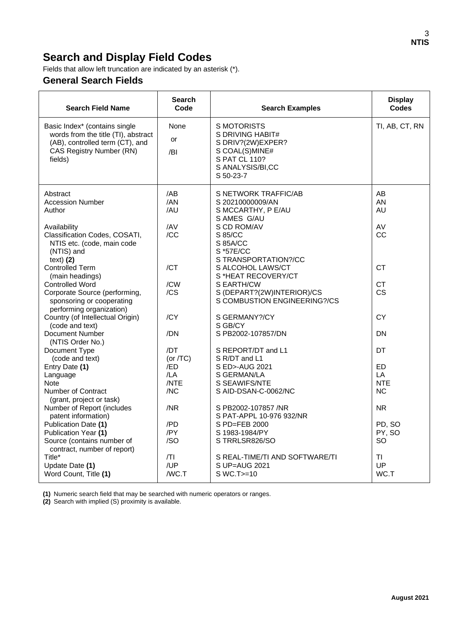# **Search and Display Field Codes**

Fields that allow left truncation are indicated by an asterisk (\*).

### **General Search Fields**

| <b>Search Field Name</b>                                                                                                                              | <b>Search</b><br>Code           | <b>Search Examples</b>                                                                                                          | <b>Display</b><br>Codes                    |
|-------------------------------------------------------------------------------------------------------------------------------------------------------|---------------------------------|---------------------------------------------------------------------------------------------------------------------------------|--------------------------------------------|
| Basic Index* (contains single<br>words from the title (TI), abstract<br>(AB), controlled term (CT), and<br><b>CAS Registry Number (RN)</b><br>fields) | None<br>or<br>/BI               | <b>S MOTORISTS</b><br>S DRIVING HABIT#<br>S DRIV?(2W)EXPER?<br>S COAL(S)MINE#<br>S PAT CL 110?<br>S ANALYSIS/BI,CC<br>S 50-23-7 | TI, AB, CT, RN                             |
| Abstract<br><b>Accession Number</b><br>Author<br>Availability<br>Classification Codes, COSATI,                                                        | /AB<br>/AN<br>/AU<br>/AV<br>/CC | S NETWORK TRAFFIC/AB<br>S 20210000009/AN<br>S MCCARTHY, P E/AU<br>S AMES G/AU<br>S CD ROM/AV<br>S 85/CC                         | AB<br>AN<br>AU<br>AV<br>CC                 |
| NTIS etc. (code, main code<br>(NTIS) and<br>text) (2)<br><b>Controlled Term</b>                                                                       | /CT                             | S 85A/CC<br>S *57E/CC<br>S TRANSPORTATION?/CC<br>S ALCOHOL LAWS/CT                                                              | <b>CT</b>                                  |
| (main headings)<br><b>Controlled Word</b><br>Corporate Source (performing,<br>sponsoring or cooperating<br>performing organization)                   | /CW<br>/CS                      | S *HEAT RECOVERY/CT<br>S EARTH/CW<br>S (DEPART?(2W)INTERIOR)/CS<br>S COMBUSTION ENGINEERING?/CS                                 | <b>CT</b><br><b>CS</b>                     |
| Country (of Intellectual Origin)<br>(code and text)<br><b>Document Number</b>                                                                         | /CY<br>/DN                      | S GERMANY?/CY<br>S GB/CY<br>S PB2002-107857/DN                                                                                  | <b>CY</b><br>DN                            |
| (NTIS Order No.)<br>Document Type<br>(code and text)                                                                                                  | /DT<br>(or $/TC$ )              | S REPORT/DT and L1<br>S R/DT and L1                                                                                             | DT                                         |
| Entry Date (1)<br>Language<br><b>Note</b><br>Number of Contract<br>(grant, project or task)                                                           | /ED<br>/LA<br>/NTE<br>/NC       | S ED>-AUG 2021<br>S GERMAN/LA<br>S SEAWIFS/NTE<br>S AID-DSAN-C-0062/NC                                                          | <b>ED</b><br>LA<br><b>NTE</b><br><b>NC</b> |
| Number of Report (includes<br>patent information)                                                                                                     | /NR                             | S PB2002-107857 /NR<br>S PAT-APPL 10-976 932/NR                                                                                 | <b>NR</b>                                  |
| Publication Date (1)<br>Publication Year (1)<br>Source (contains number of<br>contract, number of report)                                             | /PD<br>/PY<br>/SO               | S PD=FEB 2000<br>S 1983-1984/PY<br>STRRLSR826/SO                                                                                | PD, SO<br>PY, SO<br><b>SO</b>              |
| Title*<br>Update Date (1)<br>Word Count, Title (1)                                                                                                    | T <br>/UP<br>/WC.T              | S REAL-TIME/TI AND SOFTWARE/TI<br>S UP=AUG 2021<br>S WC.T >=10                                                                  | <b>TI</b><br>UP<br>WC.T                    |

**(1)** Numeric search field that may be searched with numeric operators or ranges.

**(2)** Search with implied (S) proximity is available.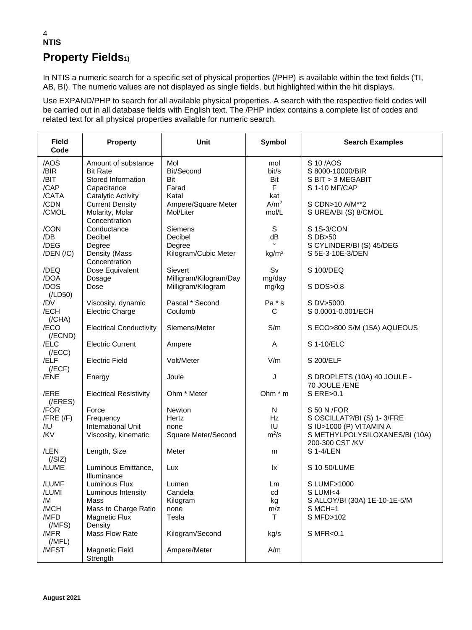#### 4 **NTIS Property Fields1)**

In NTIS a numeric search for a specific set of physical properties (/PHP) is available within the text fields (TI, AB, BI). The numeric values are not displayed as single fields, but highlighted within the hit displays.

Use EXPAND/PHP to search for all available physical properties. A search with the respective field codes will be carried out in all database fields with English text. The /PHP index contains a complete list of codes and related text for all physical properties available for numeric search.

| <b>Field</b><br>Code                          | <b>Property</b>                                                                                        | <b>Unit</b>                                          | Symbol                           | <b>Search Examples</b>                                                                                                     |
|-----------------------------------------------|--------------------------------------------------------------------------------------------------------|------------------------------------------------------|----------------------------------|----------------------------------------------------------------------------------------------------------------------------|
| /AOS<br>/BIR<br>/BIT<br>/CAP                  | Amount of substance<br><b>Bit Rate</b><br>Stored Information<br>Capacitance                            | Mol<br>Bit/Second<br>Bit<br>Farad                    | mol<br>bit/s<br>Bit<br>F         | S 10/AOS<br>S 8000-10000/BIR<br>S BIT > 3 MEGABIT<br>S 1-10 MF/CAP                                                         |
| /CATA<br>/CDN<br>/CMOL                        | Catalytic Activity<br><b>Current Density</b><br>Molarity, Molar<br>Concentration                       | Katal<br>Ampere/Square Meter<br>Mol/Liter            | kat<br>A/m <sup>2</sup><br>mol/L | S CDN>10 A/M**2<br>S UREA/BI (S) 8/CMOL                                                                                    |
| /CON<br>/DB<br>/DEG<br>$/$ DEN $/$ ( $/$ C)   | Conductance<br>Decibel<br>Degree<br>Density (Mass                                                      | Siemens<br>Decibel<br>Degree<br>Kilogram/Cubic Meter | S<br>dB<br>kg/m <sup>3</sup>     | S 1S-3/CON<br>S DB>50<br>S CYLINDER/BI (S) 45/DEG<br>S 5E-3-10E-3/DEN                                                      |
| /DEQ<br>/DOA                                  | Concentration<br>Dose Equivalent<br>Dosage                                                             | Sievert<br>Milligram/Kilogram/Day                    | Sv<br>mg/day                     | S 100/DEQ                                                                                                                  |
| /DOS<br>(ILD50)                               | Dose                                                                                                   | Milligram/Kilogram                                   | mg/kg                            | S DOS>0.8                                                                                                                  |
| /DV<br>/ECH<br>(/CHA)                         | Viscosity, dynamic<br><b>Electric Charge</b>                                                           | Pascal * Second<br>Coulomb                           | Pa * s<br>С                      | S DV>5000<br>S 0.0001-0.001/ECH                                                                                            |
| /ECO<br>$($ /ECND $)$                         | <b>Electrical Conductivity</b>                                                                         | Siemens/Meter                                        | S/m                              | S ECO>800 S/M (15A) AQUEOUS                                                                                                |
| /ELC<br>(/ECC)                                | <b>Electric Current</b>                                                                                | Ampere                                               | A                                | S 1-10/ELC                                                                                                                 |
| /ELF<br>(/ECF)                                | <b>Electric Field</b>                                                                                  | Volt/Meter                                           | V/m                              | S 200/ELF                                                                                                                  |
| /ENE                                          | Energy                                                                                                 | Joule                                                | J                                | S DROPLETS (10A) 40 JOULE -<br>70 JOULE /ENE                                                                               |
| /ERE<br>$($ /ERES $)$                         | <b>Electrical Resistivity</b>                                                                          | Ohm * Meter                                          | Ohm $*$ m                        | S ERE>0.1                                                                                                                  |
| /FOR<br>$/$ FRE $($ /F $)$<br>/IU<br>/KV      | Force<br>Frequency<br>International Unit<br>Viscosity, kinematic                                       | Newton<br>Hertz<br>none<br>Square Meter/Second       | N<br><b>Hz</b><br>IU<br>$m^2/s$  | S 50 N / FOR<br>S OSCILLAT?/BI (S) 1-3/FRE<br>S IU>1000 (P) VITAMIN A<br>S METHYLPOLYSILOXANES/BI (10A)<br>200-300 CST /KV |
| /LEN<br>(/SIZ)                                | Length, Size                                                                                           | Meter                                                | m                                | S 1-4/LEN                                                                                                                  |
| /LUME                                         | Luminous Emittance,<br>Illuminance                                                                     | Lux                                                  | Ιx                               | S 10-50/LUME                                                                                                               |
| /LUMF<br>/LUMI<br>/M<br>/MCH<br>/MFD<br>(MFS) | Luminous Flux<br>Luminous Intensity<br>Mass<br>Mass to Charge Ratio<br><b>Magnetic Flux</b><br>Density | Lumen<br>Candela<br>Kilogram<br>none<br>Tesla        | Lm<br>cd<br>kg<br>m/z<br>Τ       | S LUMF>1000<br>S LUMI<4<br>S ALLOY/BI (30A) 1E-10-1E-5/M<br>$S MCH=1$<br>S MFD>102                                         |
| /MFR<br>(MFL)                                 | Mass Flow Rate                                                                                         | Kilogram/Second                                      | kg/s                             | S MFR<0.1                                                                                                                  |
| /MFST                                         | Magnetic Field<br>Strength                                                                             | Ampere/Meter                                         | A/m                              |                                                                                                                            |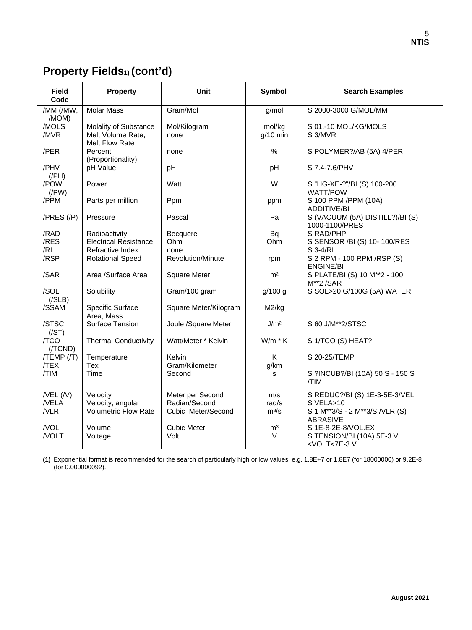# **Property Fields1) (cont'd)**

| <b>Field</b><br>Code                | <b>Property</b>                                              | Unit                                                    | Symbol                  | <b>Search Examples</b>                                                                          |
|-------------------------------------|--------------------------------------------------------------|---------------------------------------------------------|-------------------------|-------------------------------------------------------------------------------------------------|
| /MM (/MW,<br>/MOM)                  | <b>Molar Mass</b>                                            | Gram/Mol                                                | g/mol                   | S 2000-3000 G/MOL/MM                                                                            |
| /MOLS<br>/MVR                       | Molality of Substance<br>Melt Volume Rate,<br>Melt Flow Rate | Mol/Kilogram<br>none                                    | mol/kg<br>$g/10$ min    | S 01.-10 MOL/KG/MOLS<br>S 3/MVR                                                                 |
| /PER                                | Percent<br>(Proportionality)                                 | none                                                    | $\%$                    | S POLYMER?/AB (5A) 4/PER                                                                        |
| /PHV<br>$($ /PH $)$                 | pH Value                                                     | pH                                                      | pH                      | S 7.4-7.6/PHV                                                                                   |
| /POW<br>$($ /PW $)$                 | Power                                                        | Watt                                                    | W                       | S "HG-XE-?"/BI (S) 100-200<br><b>WATT/POW</b>                                                   |
| /PPM                                | Parts per million                                            | Ppm                                                     | ppm                     | S 100 PPM /PPM (10A)<br><b>ADDITIVE/BI</b>                                                      |
| $/PRES$ $/P$                        | Pressure                                                     | Pascal                                                  | Pa                      | S (VACUUM (5A) DISTILL?)/BI (S)<br>1000-1100/PRES                                               |
| /RAD                                | Radioactivity                                                | Becquerel                                               | Bq                      | S RAD/PHP                                                                                       |
| /RES                                | <b>Electrical Resistance</b>                                 | Ohm                                                     | Ohm                     | S SENSOR /BI (S) 10-100/RES                                                                     |
| /RI                                 | Refractive Index                                             | none                                                    |                         | S 3-4/RI                                                                                        |
| /RSP                                | <b>Rotational Speed</b>                                      | Revolution/Minute                                       | rpm                     | S 2 RPM - 100 RPM / RSP (S)<br><b>ENGINE/BI</b>                                                 |
| /SAR                                | Area /Surface Area                                           | <b>Square Meter</b>                                     | m <sup>2</sup>          | S PLATE/BI (S) 10 M**2 - 100<br>M**2/SAR                                                        |
| /SOL<br>( / SLB)                    | Solubility                                                   | Gram/100 gram                                           | g/100 g                 | S SOL>20 G/100G (5A) WATER                                                                      |
| /SSAM                               | Specific Surface<br>Area, Mass                               | Square Meter/Kilogram                                   | M2/kg                   |                                                                                                 |
| /STSC<br>(/ST)                      | Surface Tension                                              | Joule /Square Meter                                     | J/m <sup>2</sup>        | S 60 J/M**2/STSC                                                                                |
| /TCO<br>(/TCND)                     | <b>Thermal Conductivity</b>                                  | Watt/Meter * Kelvin                                     | $W/m * K$               | S 1/TCO (S) HEAT?                                                                               |
| $/TEMP$ $/$<br><b>TEX</b>           | Temperature<br>Tex                                           | Kelvin<br>Gram/Kilometer                                | K<br>g/km               | S 20-25/TEMP                                                                                    |
| /TIM                                | Time                                                         | Second                                                  | s                       | S ?INCUB?/BI (10A) 50 S - 150 S<br>/TIM                                                         |
| $/$ VEL $($ /V $)$<br>/VELA<br>/VLR | Velocity<br>Velocity, angular<br><b>Volumetric Flow Rate</b> | Meter per Second<br>Radian/Second<br>Cubic Meter/Second | m/s<br>rad/s<br>$m^3/s$ | S REDUC?/BI (S) 1E-3-5E-3/VEL<br>S VELA>10<br>S 1 M**3/S - 2 M**3/S /VLR (S)<br><b>ABRASIVE</b> |
| /VOL<br>/VOLT                       | Volume<br>Voltage                                            | <b>Cubic Meter</b><br>Volt                              | m <sup>3</sup><br>V     | S 1E-8-2E-8/VOL.EX<br>S TENSION/BI (10A) 5E-3 V<br><volt<7e-3v< td=""></volt<7e-3v<>            |

**(1)** Exponential format is recommended for the search of particularly high or low values, e.g. 1.8E+7 or 1.8E7 (for 18000000) or 9.2E-8 (for 0.000000092).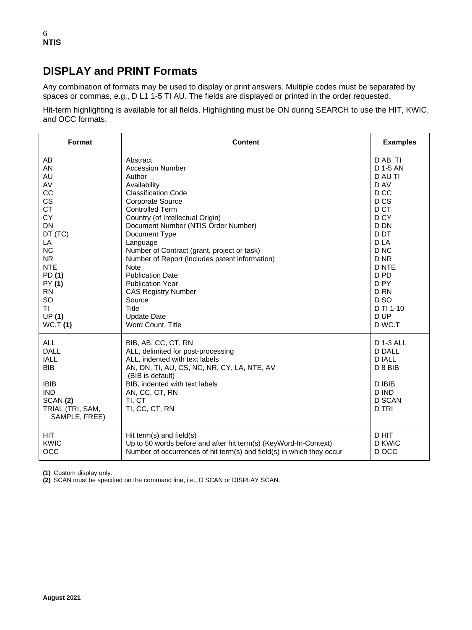## **DISPLAY and PRINT Formats**

Any combination of formats may be used to display or print answers. Multiple codes must be separated by spaces or commas, e.g., D L1 1-5 TI AU. The fields are displayed or printed in the order requested.

Hit-term highlighting is available for all fields. Highlighting must be ON during SEARCH to use the HIT, KWIC, and OCC formats.

| Format                                                                                                                        | <b>Content</b>                                                                                                                                                                                                                                 | <b>Examples</b>                                                                                                                          |
|-------------------------------------------------------------------------------------------------------------------------------|------------------------------------------------------------------------------------------------------------------------------------------------------------------------------------------------------------------------------------------------|------------------------------------------------------------------------------------------------------------------------------------------|
| AB                                                                                                                            | Abstract                                                                                                                                                                                                                                       | D AB, TI                                                                                                                                 |
| AN                                                                                                                            | <b>Accession Number</b>                                                                                                                                                                                                                        | D 1-5 AN                                                                                                                                 |
| AU                                                                                                                            | Author                                                                                                                                                                                                                                         | D AU TI                                                                                                                                  |
| AV                                                                                                                            | Availability                                                                                                                                                                                                                                   | D AV                                                                                                                                     |
| CC                                                                                                                            | <b>Classification Code</b>                                                                                                                                                                                                                     | D <sub>CC</sub>                                                                                                                          |
| CS                                                                                                                            | <b>Corporate Source</b>                                                                                                                                                                                                                        | D <sub>CS</sub>                                                                                                                          |
| <b>CT</b>                                                                                                                     | <b>Controlled Term</b>                                                                                                                                                                                                                         | D CT                                                                                                                                     |
| <b>CY</b>                                                                                                                     | Country (of Intellectual Origin)                                                                                                                                                                                                               | D <sub>CY</sub>                                                                                                                          |
| <b>DN</b>                                                                                                                     | Document Number (NTIS Order Number)                                                                                                                                                                                                            | D DN                                                                                                                                     |
| DT (TC)                                                                                                                       | Document Type                                                                                                                                                                                                                                  | D <sub>D</sub> T                                                                                                                         |
| LA                                                                                                                            | Language                                                                                                                                                                                                                                       | D LA                                                                                                                                     |
| <b>NC</b>                                                                                                                     | Number of Contract (grant, project or task)                                                                                                                                                                                                    | D <sub>NC</sub>                                                                                                                          |
| <b>NR</b>                                                                                                                     | Number of Report (includes patent information)                                                                                                                                                                                                 | D NR                                                                                                                                     |
| <b>NTE</b>                                                                                                                    | <b>Note</b>                                                                                                                                                                                                                                    | <b>D NTE</b>                                                                                                                             |
| PD (1)                                                                                                                        | <b>Publication Date</b>                                                                                                                                                                                                                        | D <sub>PD</sub>                                                                                                                          |
| PY (1)                                                                                                                        | <b>Publication Year</b>                                                                                                                                                                                                                        | D <sub>PY</sub>                                                                                                                          |
| <b>RN</b>                                                                                                                     | <b>CAS Registry Number</b>                                                                                                                                                                                                                     | D <sub>RN</sub>                                                                                                                          |
| <b>SO</b>                                                                                                                     | Source                                                                                                                                                                                                                                         | D <sub>SO</sub>                                                                                                                          |
| ΤL                                                                                                                            | Title                                                                                                                                                                                                                                          | D TI 1-10                                                                                                                                |
| UP(1)                                                                                                                         | <b>Update Date</b>                                                                                                                                                                                                                             | D UP                                                                                                                                     |
| WC.T(1)                                                                                                                       | Word Count, Title                                                                                                                                                                                                                              | D WC.T                                                                                                                                   |
| <b>ALL</b><br>DALL<br><b>IALL</b><br><b>BIB</b><br><b>IBIB</b><br><b>IND</b><br>SCAN (2)<br>TRIAL (TRI, SAM,<br>SAMPLE, FREE) | BIB, AB, CC, CT, RN<br>ALL, delimited for post-processing<br>ALL, indented with text labels<br>AN, DN, TI, AU, CS, NC, NR, CY, LA, NTE, AV<br>(BIB is default)<br>BIB, indented with text labels<br>AN, CC, CT, RN<br>TI, CT<br>TI, CC, CT, RN | <b>D 1-3 ALL</b><br><b>D DALL</b><br><b>D IALL</b><br>D <sub>8</sub> B <sub>IB</sub><br>D IBIB<br>D IND<br><b>D SCAN</b><br><b>D TRI</b> |
| <b>HIT</b>                                                                                                                    | Hit term(s) and field(s)                                                                                                                                                                                                                       | D HIT                                                                                                                                    |
| KWIC                                                                                                                          | Up to 50 words before and after hit term(s) (KeyWord-In-Context)                                                                                                                                                                               | D KWIC                                                                                                                                   |
| OCC                                                                                                                           | Number of occurrences of hit term(s) and field(s) in which they occur                                                                                                                                                                          | D OCC                                                                                                                                    |

**(1)** Custom display only.

**(2)** SCAN must be specified on the command line, i.e., D SCAN or DISPLAY SCAN.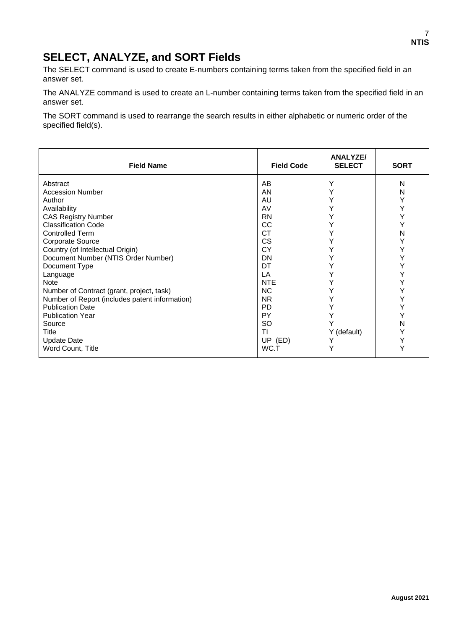## **SELECT, ANALYZE, and SORT Fields**

The SELECT command is used to create E-numbers containing terms taken from the specified field in an answer set.

The ANALYZE command is used to create an L-number containing terms taken from the specified field in an answer set.

The SORT command is used to rearrange the search results in either alphabetic or numeric order of the specified field(s).

| <b>Field Name</b>                              | <b>Field Code</b> | <b>ANALYZE/</b><br><b>SELECT</b> | <b>SORT</b> |
|------------------------------------------------|-------------------|----------------------------------|-------------|
| Abstract                                       | AB                | Υ                                | N           |
| <b>Accession Number</b>                        | AN                |                                  | N           |
| Author                                         | AU                |                                  | Y           |
| Availability                                   | AV                |                                  | Υ           |
| <b>CAS Registry Number</b>                     | <b>RN</b>         |                                  | Ý           |
| <b>Classification Code</b>                     | CC                |                                  | Y           |
| <b>Controlled Term</b>                         | <b>CT</b>         |                                  | N           |
| Corporate Source                               | <b>CS</b>         |                                  | Y           |
| Country (of Intellectual Origin)               | CY                |                                  | Y           |
| Document Number (NTIS Order Number)            | DN                |                                  | Y           |
| Document Type                                  | DT                |                                  | Y           |
| Language                                       | LA                |                                  | Y           |
| <b>Note</b>                                    | <b>NTE</b>        |                                  | Y           |
| Number of Contract (grant, project, task)      | <b>NC</b>         |                                  | Y           |
| Number of Report (includes patent information) | <b>NR</b>         |                                  | Y           |
| <b>Publication Date</b>                        | <b>PD</b>         |                                  | Y           |
| <b>Publication Year</b>                        | <b>PY</b>         |                                  |             |
| Source                                         | <b>SO</b>         |                                  | N           |
| Title                                          | TI                | Y (default)                      | Y           |
| <b>Update Date</b>                             | UP (ED)           |                                  | Y           |
| Word Count, Title                              | WC.T              |                                  | Υ           |